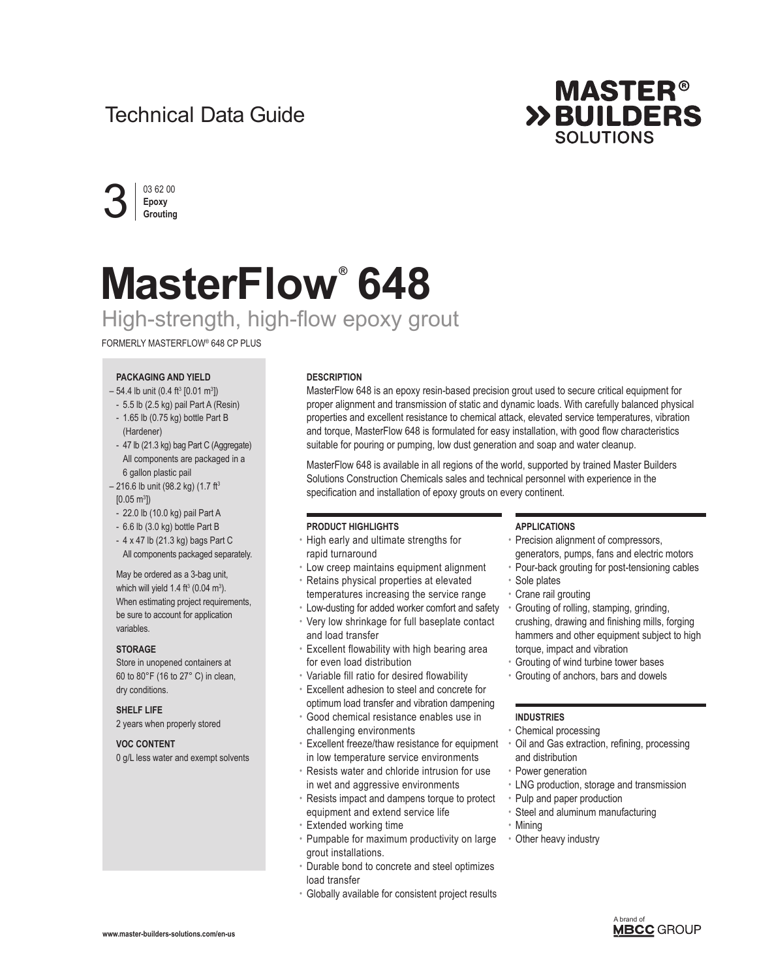## Technical Data Guide





# **MasterFlow® 648** High-strength, high-flow epoxy grout

### FORMERLY MASTERFLOW® 648 CP PLUS

#### **PACKAGING AND YIELD**

- $-54.4$  lb unit (0.4 ft<sup>3</sup> [0.01 m<sup>3</sup>])
- 5.5 lb (2.5 kg) pail Part A (Resin)
- 1.65 lb (0.75 kg) bottle Part B (Hardener)
- 47 lb (21.3 kg) bag Part C (Aggregate) All components are packaged in a 6 gallon plastic pail
- $-216.6$  lb unit (98.2 kg) (1.7 ft<sup>3</sup>
- $[0.05 \text{ m}^3]$
- 22.0 lb (10.0 kg) pail Part A
- 6.6 lb (3.0 kg) bottle Part B

- 4 x 47 lb (21.3 kg) bags Part C All components packaged separately.

May be ordered as a 3-bag unit, which will yield  $1.4 \text{ ft}^3 \text{ (0.04 m}^3)$ . When estimating project requirements, be sure to account for application variables.

#### **STORAGE**

Store in unopened containers at 60 to 80°F (16 to 27° C) in clean, dry conditions.

#### **SHELF LIFE**

2 years when properly stored

#### **VOC CONTENT**

0 g/L less water and exempt solvents

#### **DESCRIPTION**

MasterFlow 648 is an epoxy resin-based precision grout used to secure critical equipment for proper alignment and transmission of static and dynamic loads. With carefully balanced physical properties and excellent resistance to chemical attack, elevated service temperatures, vibration and torque, MasterFlow 648 is formulated for easy installation, with good flow characteristics suitable for pouring or pumping, low dust generation and soap and water cleanup.

MasterFlow 648 is available in all regions of the world, supported by trained Master Builders Solutions Construction Chemicals sales and technical personnel with experience in the specification and installation of epoxy grouts on every continent.

#### **PRODUCT HIGHLIGHTS**

- High early and ultimate strengths for rapid turnaround
- Low creep maintains equipment alignment
- Retains physical properties at elevated temperatures increasing the service range
- Low-dusting for added worker comfort and safety
- Very low shrinkage for full baseplate contact and load transfer
- Excellent flowability with high bearing area for even load distribution
- Variable fill ratio for desired flowability
- Excellent adhesion to steel and concrete for optimum load transfer and vibration dampening
- Good chemical resistance enables use in
- challenging environments
- Excellent freeze/thaw resistance for equipment in low temperature service environments
- Resists water and chloride intrusion for use in wet and aggressive environments
- Resists impact and dampens torque to protect equipment and extend service life
- Extended working time
- Pumpable for maximum productivity on large grout installations.
- Durable bond to concrete and steel optimizes load transfer
- Globally available for consistent project results

#### **APPLICATIONS**

- Precision alignment of compressors, generators, pumps, fans and electric motors
- Pour-back grouting for post-tensioning cables
- Sole plates
- Crane rail grouting
- Grouting of rolling, stamping, grinding, crushing, drawing and finishing mills, forging hammers and other equipment subject to high torque, impact and vibration
- Grouting of wind turbine tower bases
- Grouting of anchors, bars and dowels

#### **INDUSTRIES**

- Chemical processing
- Oil and Gas extraction, refining, processing and distribution
- Power generation
- LNG production, storage and transmission
- Pulp and paper production
- Steel and aluminum manufacturing
- Mining
- Other heavy industry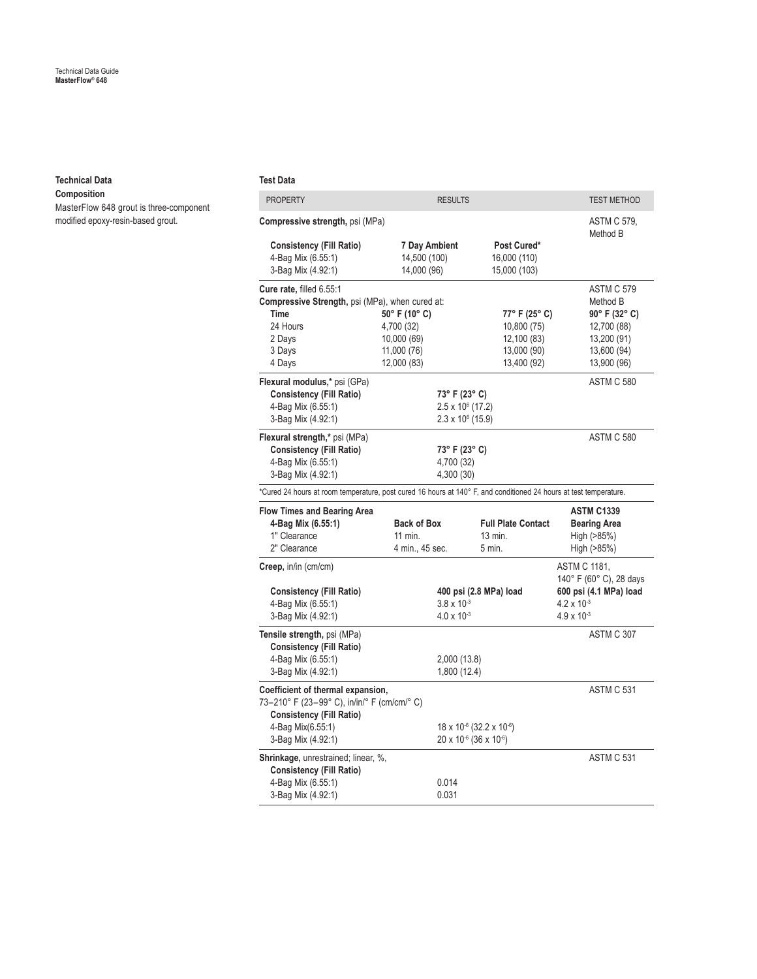#### **Technical Data**

**Composition** MasterFlow 648 grout is three-component modified epoxy-resin-based grout.

#### **Test Data**

| <b>PROPERTY</b>                                                                                                   | <b>RESULTS</b>           |                                                  | <b>TEST METHOD</b>                             |
|-------------------------------------------------------------------------------------------------------------------|--------------------------|--------------------------------------------------|------------------------------------------------|
| Compressive strength, psi (MPa)                                                                                   |                          | ASTM C 579,<br>Method B                          |                                                |
| <b>Consistency (Fill Ratio)</b>                                                                                   | 7 Day Ambient            | Post Cured*                                      |                                                |
| 4-Bag Mix (6.55:1)                                                                                                | 14,500 (100)             | 16,000 (110)                                     |                                                |
| 3-Bag Mix (4.92:1)                                                                                                | 14,000 (96)              | 15,000 (103)                                     |                                                |
| Cure rate, filled 6.55:1                                                                                          |                          |                                                  | <b>ASTM C 579</b>                              |
| <b>Compressive Strength, psi (MPa), when cured at:</b>                                                            |                          |                                                  | Method B                                       |
| <b>Time</b>                                                                                                       | 50° F (10° C)            | 77° F (25° C)                                    | $90^{\circ}$ F (32° C)                         |
| 24 Hours                                                                                                          | 4,700 (32)               | 10,800(75)                                       | 12,700 (88)                                    |
| 2 Days                                                                                                            | 10,000 (69)              | 12,100 (83)                                      | 13,200 (91)                                    |
| 3 Days                                                                                                            | 11,000 (76)              | 13,000 (90)                                      | 13,600 (94)                                    |
| 4 Days                                                                                                            | 12,000 (83)              | 13,400 (92)                                      | 13,900 (96)                                    |
| Flexural modulus,* psi (GPa)                                                                                      |                          |                                                  | ASTM C 580                                     |
| <b>Consistency (Fill Ratio)</b>                                                                                   | 73° F (23° C)            |                                                  |                                                |
| 4-Bag Mix (6.55:1)                                                                                                | $2.5 \times 10^6$ (17.2) |                                                  |                                                |
| 3-Bag Mix (4.92:1)                                                                                                | $2.3 \times 10^6$ (15.9) |                                                  |                                                |
| Flexural strength,* psi (MPa)                                                                                     |                          |                                                  | ASTM C 580                                     |
| <b>Consistency (Fill Ratio)</b>                                                                                   | 73° F (23° C)            |                                                  |                                                |
| 4-Bag Mix (6.55:1)                                                                                                | 4,700 (32)               |                                                  |                                                |
| 3-Bag Mix (4.92:1)                                                                                                | 4,300 (30)               |                                                  |                                                |
|                                                                                                                   |                          |                                                  |                                                |
| *Cured 24 hours at room temperature, post cured 16 hours at 140° F, and conditioned 24 hours at test temperature. |                          |                                                  |                                                |
| <b>Flow Times and Bearing Area</b>                                                                                |                          |                                                  | <b>ASTM C1339</b>                              |
| 4-Bag Mix (6.55:1)                                                                                                | <b>Back of Box</b>       | <b>Full Plate Contact</b>                        | <b>Bearing Area</b>                            |
| 1" Clearance                                                                                                      | 11 min.                  | $13$ min.                                        | High (>85%)                                    |
| 2" Clearance                                                                                                      | 4 min., 45 sec.          | 5 min.                                           | High (>85%)                                    |
| Creep, in/in (cm/cm)                                                                                              |                          |                                                  | <b>ASTM C 1181,</b><br>140° F (60° C), 28 days |
| <b>Consistency (Fill Ratio)</b>                                                                                   |                          | 400 psi (2.8 MPa) load                           | 600 psi (4.1 MPa) load                         |
| 4-Bag Mix (6.55:1)                                                                                                | $3.8 \times 10^{-3}$     |                                                  | $4.2 \times 10^{-3}$                           |
| 3-Bag Mix (4.92:1)                                                                                                | $4.0 \times 10^{-3}$     |                                                  | $4.9 \times 10^{-3}$                           |
|                                                                                                                   |                          |                                                  |                                                |
|                                                                                                                   |                          |                                                  |                                                |
| Tensile strength, psi (MPa)                                                                                       |                          |                                                  | ASTM C 307                                     |
| <b>Consistency (Fill Ratio)</b>                                                                                   |                          |                                                  |                                                |
| 4-Bag Mix (6.55:1)                                                                                                | 2,000 (13.8)             |                                                  |                                                |
| 3-Bag Mix (4.92:1)                                                                                                | 1,800 (12.4)             |                                                  |                                                |
| Coefficient of thermal expansion,<br>73-210° F (23-99° C), in/in/° F (cm/cm/° C)                                  |                          |                                                  | ASTM C 531                                     |
| <b>Consistency (Fill Ratio)</b>                                                                                   |                          |                                                  |                                                |
| 4-Bag Mix(6.55:1)                                                                                                 |                          | 18 x 10 <sup>-6</sup> (32.2 x 10 <sup>-6</sup> ) |                                                |
| 3-Bag Mix (4.92:1)                                                                                                |                          | 20 x 10-6 (36 x 10-6)                            |                                                |
| Shrinkage, unrestrained; linear, %,                                                                               |                          |                                                  | ASTM C 531                                     |
| <b>Consistency (Fill Ratio)</b>                                                                                   |                          |                                                  |                                                |
| 4-Bag Mix (6.55:1)                                                                                                | 0.014                    |                                                  |                                                |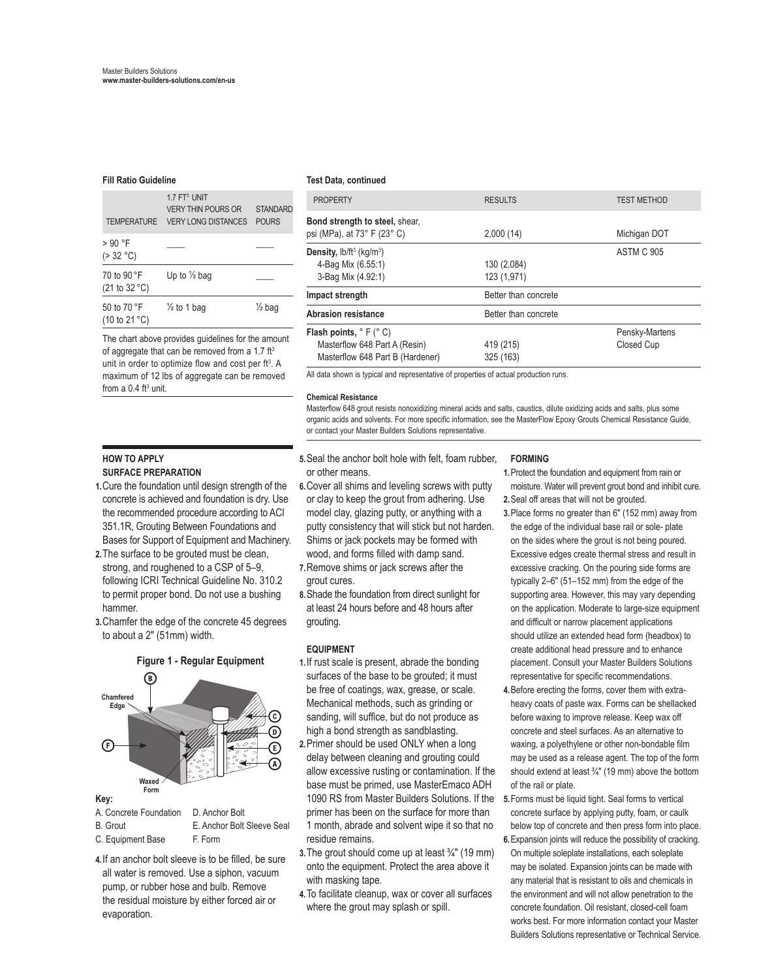#### **Fill Ratio Guideline Test Data, continued**

| <b>TEMPERATURE</b>                              | $17FT3$ UNIT<br><b>VERY THIN POURS OR</b><br><b>VERY LONG DISTANCES</b> | <b>STANDARD</b><br><b>POURS</b> |
|-------------------------------------------------|-------------------------------------------------------------------------|---------------------------------|
| $>90$ °F<br>( > 32 °C)                          |                                                                         |                                 |
| 70 to 90 °F<br>(21 to 32 °C)                    | Up to $\frac{1}{2}$ bag                                                 |                                 |
| 50 to 70 °F<br>$(10 \text{ to } 21 \text{ °C})$ | $\frac{1}{2}$ to 1 bag                                                  | $\frac{1}{2}$ bag               |

The chart above provides guidelines for the amount of aggregate that can be removed from a 1.7  $ft<sup>3</sup>$ unit in order to optimize flow and cost per ft<sup>3</sup>. A maximum of 12 lbs of aggregate can be removed from a  $0.4$  ft<sup>3</sup> unit.

#### **HOW TO APPLY SURFACE PREPARATION**

- **1.**Cure the foundation until design strength of the concrete is achieved and foundation is dry. Use the recommended procedure according to ACI 351.1R, Grouting Between Foundations and Bases for Support of Equipment and Machinery.
- **2.**The surface to be grouted must be clean, strong, and roughened to a CSP of 5–9, following ICRI Technical Guideline No. 310.2 to permit proper bond. Do not use a bushing hammer.
- **3.**Chamfer the edge of the concrete 45 degrees to about a 2" (51mm) width.



- A. Concrete Foundation D. Anchor Bolt B. Grout **E. Anchor Bolt Sleeve Seal**
- C. Equipment Base F. Form
- **4.**If an anchor bolt sleeve is to be filled, be sure all water is removed. Use a siphon, vacuum pump, or rubber hose and bulb. Remove the residual moisture by either forced air or evaporation.

| <b>PROPERTY</b>                                               | <b>RESULTS</b>       | <b>TEST METHOD</b> |
|---------------------------------------------------------------|----------------------|--------------------|
| Bond strength to steel, shear,<br>psi (MPa), at 73° F (23° C) | 2,000(14)            | Michigan DOT       |
| Density, $\frac{b}{ft^3}$ (kg/m <sup>3</sup> )                |                      | <b>ASTM C 905</b>  |
| 4-Bag Mix (6.55:1)                                            | 130 (2,084)          |                    |
| 3-Bag Mix (4.92:1)                                            | 123 (1,971)          |                    |
| Impact strength                                               | Better than concrete |                    |
| Abrasion resistance                                           | Better than concrete |                    |
| Flash points, $\degree$ F ( $\degree$ C)                      |                      | Pensky-Martens     |
| Masterflow 648 Part A (Resin)                                 | 419 (215)            | Closed Cup         |
| Masterflow 648 Part B (Hardener)                              | 325 (163)            |                    |

All data shown is typical and representative of properties of actual production runs.

#### **Chemical Resistance**

Masterflow 648 grout resists nonoxidizing mineral acids and salts, caustics, dilute oxidizing acids and salts, plus some organic acids and solvents. For more specific information, see the MasterFlow Epoxy Grouts Chemical Resistance Guide, or contact your Master Builders Solutions representative.

- **5.**Seal the anchor bolt hole with felt, foam rubber, or other means.
- **6.**Cover all shims and leveling screws with putty or clay to keep the grout from adhering. Use model clay, glazing putty, or anything with a putty consistency that will stick but not harden. Shims or jack pockets may be formed with wood, and forms filled with damp sand.
- **7.**Remove shims or jack screws after the grout cures.
- **8.**Shade the foundation from direct sunlight for at least 24 hours before and 48 hours after grouting.

#### **EQUIPMENT**

- **1.**If rust scale is present, abrade the bonding surfaces of the base to be grouted; it must be free of coatings, wax, grease, or scale. Mechanical methods, such as grinding or sanding, will suffice, but do not produce as high a bond strength as sandblasting.
- **2.**Primer should be used ONLY when a long delay between cleaning and grouting could allow excessive rusting or contamination. If the base must be primed, use MasterEmaco ADH 1090 RS from Master Builders Solutions. If the primer has been on the surface for more than 1 month, abrade and solvent wipe it so that no residue remains.
- **3.**The grout should come up at least ¾" (19 mm) onto the equipment. Protect the area above it with masking tape.
- **4.**To facilitate cleanup, wax or cover all surfaces where the grout may splash or spill.

#### **FORMING**

- **1.**Protect the foundation and equipment from rain or moisture. Water will prevent grout bond and inhibit cure. **2.**Seal off areas that will not be grouted.
- **3.**Place forms no greater than 6" (152 mm) away from the edge of the individual base rail or sole- plate on the sides where the grout is not being poured. Excessive edges create thermal stress and result in excessive cracking. On the pouring side forms are typically 2–6" (51–152 mm) from the edge of the supporting area. However, this may vary depending on the application. Moderate to large-size equipment and difficult or narrow placement applications should utilize an extended head form (headbox) to create additional head pressure and to enhance placement. Consult your Master Builders Solutions representative for specific recommendations.
- **4.**Before erecting the forms, cover them with extraheavy coats of paste wax. Forms can be shellacked before waxing to improve release. Keep wax off concrete and steel surfaces. As an alternative to waxing, a polyethylene or other non-bondable film may be used as a release agent. The top of the form should extend at least  $\frac{3}{4}$ " (19 mm) above the bottom of the rail or plate.
- **5.**Forms must be liquid tight. Seal forms to vertical concrete surface by applying putty, foam, or caulk below top of concrete and then press form into place. **6.**Expansion joints will reduce the possibility of cracking.
- On multiple soleplate installations, each soleplate may be isolated. Expansion joints can be made with any material that is resistant to oils and chemicals in the environment and will not allow penetration to the concrete foundation. Oil resistant, closed-cell foam works best. For more information contact your Master Builders Solutions representative or Technical Service.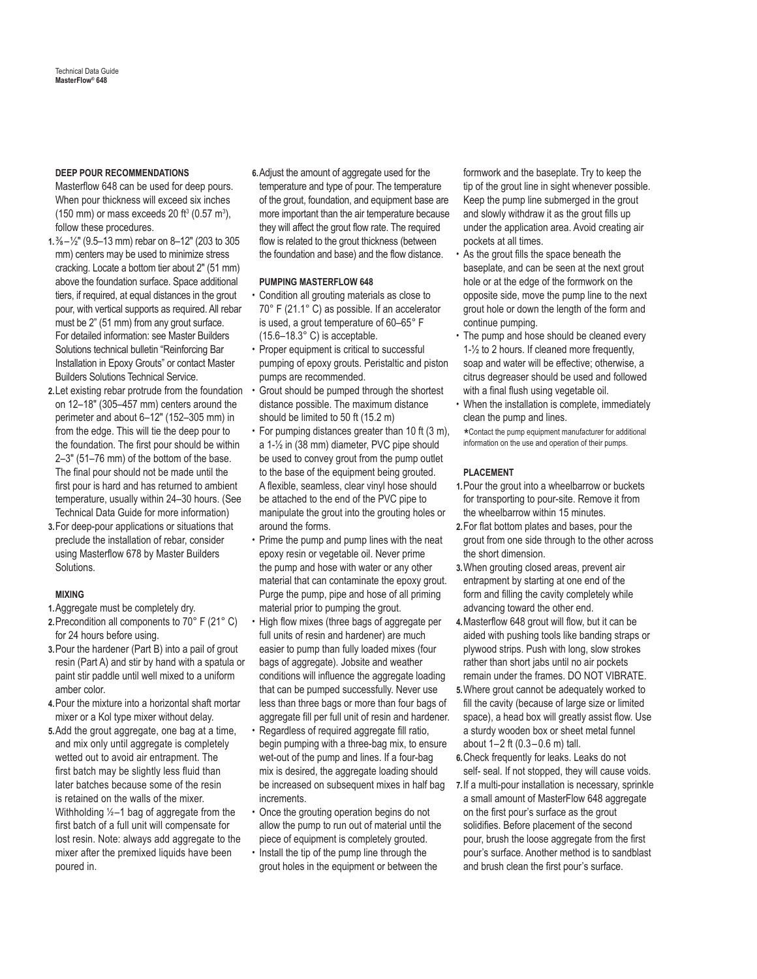#### **DEEP POUR RECOMMENDATIONS**

Masterflow 648 can be used for deep pours. When pour thickness will exceed six inches (150 mm) or mass exceeds 20 ft<sup>3</sup> (0.57 m<sup>3</sup>), follow these procedures.

- **1.**⅜– ½" (9.5–13 mm) rebar on 8–12" (203 to 305 mm) centers may be used to minimize stress cracking. Locate a bottom tier about 2" (51 mm) above the foundation surface. Space additional tiers, if required, at equal distances in the grout pour, with vertical supports as required. All rebar must be 2" (51 mm) from any grout surface. For detailed information: see Master Builders Solutions technical bulletin "Reinforcing Bar Installation in Epoxy Grouts" or contact Master Builders Solutions Technical Service.
- **2.**Let existing rebar protrude from the foundation on 12–18" (305–457 mm) centers around the perimeter and about 6–12" (152–305 mm) in from the edge. This will tie the deep pour to the foundation. The first pour should be within 2–3" (51–76 mm) of the bottom of the base. The final pour should not be made until the first pour is hard and has returned to ambient temperature, usually within 24–30 hours. (See Technical Data Guide for more information)
- **3.**For deep-pour applications or situations that preclude the installation of rebar, consider using Masterflow 678 by Master Builders Solutions.

#### **MIXING**

**1.**Aggregate must be completely dry.

- **2.**Precondition all components to 70° F (21° C) for 24 hours before using.
- **3.**Pour the hardener (Part B) into a pail of grout resin (Part A) and stir by hand with a spatula or paint stir paddle until well mixed to a uniform amber color.
- **4.**Pour the mixture into a horizontal shaft mortar mixer or a Kol type mixer without delay.
- **5.**Add the grout aggregate, one bag at a time, and mix only until aggregate is completely wetted out to avoid air entrapment. The first batch may be slightly less fluid than later batches because some of the resin is retained on the walls of the mixer. Withholding ½–1 bag of aggregate from the first batch of a full unit will compensate for lost resin. Note: always add aggregate to the mixer after the premixed liquids have been poured in.

**6.**Adjust the amount of aggregate used for the temperature and type of pour. The temperature of the grout, foundation, and equipment base are more important than the air temperature because they will affect the grout flow rate. The required flow is related to the grout thickness (between the foundation and base) and the flow distance.

#### **PUMPING MASTERFLOW 648**

- Condition all grouting materials as close to 70° F (21.1° C) as possible. If an accelerator is used, a grout temperature of 60–65° F (15.6–18.3° C) is acceptable.
- Proper equipment is critical to successful pumping of epoxy grouts. Peristaltic and piston pumps are recommended.
- Grout should be pumped through the shortest distance possible. The maximum distance should be limited to 50 ft (15.2 m)
- For pumping distances greater than 10 ft (3 m), a 1-½ in (38 mm) diameter, PVC pipe should be used to convey grout from the pump outlet to the base of the equipment being grouted. A flexible, seamless, clear vinyl hose should be attached to the end of the PVC pipe to manipulate the grout into the grouting holes or around the forms.
- Prime the pump and pump lines with the neat epoxy resin or vegetable oil. Never prime the pump and hose with water or any other material that can contaminate the epoxy grout. Purge the pump, pipe and hose of all priming material prior to pumping the grout.
- High flow mixes (three bags of aggregate per full units of resin and hardener) are much easier to pump than fully loaded mixes (four bags of aggregate). Jobsite and weather conditions will influence the aggregate loading that can be pumped successfully. Never use less than three bags or more than four bags of aggregate fill per full unit of resin and hardener.
- Regardless of required aggregate fill ratio, begin pumping with a three-bag mix, to ensure wet-out of the pump and lines. If a four-bag mix is desired, the aggregate loading should be increased on subsequent mixes in half bag increments.
- Once the grouting operation begins do not allow the pump to run out of material until the piece of equipment is completely grouted.
- Install the tip of the pump line through the grout holes in the equipment or between the

formwork and the baseplate. Try to keep the tip of the grout line in sight whenever possible. Keep the pump line submerged in the grout and slowly withdraw it as the grout fills up under the application area. Avoid creating air pockets at all times.

- As the grout fills the space beneath the baseplate, and can be seen at the next grout hole or at the edge of the formwork on the opposite side, move the pump line to the next grout hole or down the length of the form and continue pumping.
- The pump and hose should be cleaned every 1-½ to 2 hours. If cleaned more frequently, soap and water will be effective; otherwise, a citrus degreaser should be used and followed with a final flush using vegetable oil.
- When the installation is complete, immediately clean the pump and lines.

 \* Contact the pump equipment manufacturer for additional information on the use and operation of their pumps.

#### **PLACEMENT**

- **1.**Pour the grout into a wheelbarrow or buckets for transporting to pour-site. Remove it from the wheelbarrow within 15 minutes.
- **2.**For flat bottom plates and bases, pour the grout from one side through to the other across the short dimension.
- **3.**When grouting closed areas, prevent air entrapment by starting at one end of the form and filling the cavity completely while advancing toward the other end.
- **4.**Masterflow 648 grout will flow, but it can be aided with pushing tools like banding straps or plywood strips. Push with long, slow strokes rather than short jabs until no air pockets remain under the frames. DO NOT VIBRATE.
- **5.**Where grout cannot be adequately worked to fill the cavity (because of large size or limited space), a head box will greatly assist flow. Use a sturdy wooden box or sheet metal funnel about 1–2 ft (0.3–0.6 m) tall.
- **6.**Check frequently for leaks. Leaks do not self- seal. If not stopped, they will cause voids.
- **7.**If a multi-pour installation is necessary, sprinkle a small amount of MasterFlow 648 aggregate on the first pour's surface as the grout solidifies. Before placement of the second pour, brush the loose aggregate from the first pour's surface. Another method is to sandblast and brush clean the first pour's surface.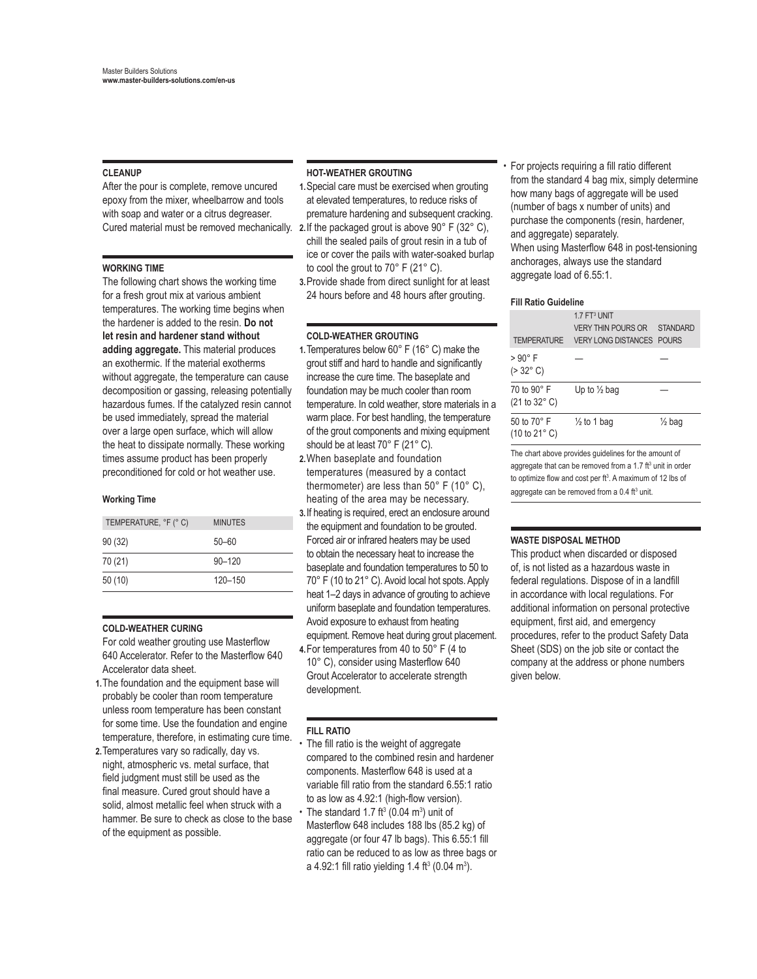#### **CLEANUP**

After the pour is complete, remove uncured epoxy from the mixer, wheelbarrow and tools with soap and water or a citrus degreaser.

#### **WORKING TIME**

The following chart shows the working time for a fresh grout mix at various ambient temperatures. The working time begins when the hardener is added to the resin. **Do not let resin and hardener stand without adding aggregate.** This material produces an exothermic. If the material exotherms without aggregate, the temperature can cause decomposition or gassing, releasing potentially hazardous fumes. If the catalyzed resin cannot be used immediately, spread the material over a large open surface, which will allow the heat to dissipate normally. These working times assume product has been properly preconditioned for cold or hot weather use.

#### **Working Time**

| TEMPERATURE, °F (°C) | <b>MINUTES</b> |
|----------------------|----------------|
| 90(32)               | $50 - 60$      |
| 70 (21)              | $90 - 120$     |
| 50(10)               | $120 - 150$    |

#### **COLD-WEATHER CURING**

For cold weather grouting use Masterflow 640 Accelerator. Refer to the Masterflow 640 Accelerator data sheet.

- **1.**The foundation and the equipment base will probably be cooler than room temperature unless room temperature has been constant for some time. Use the foundation and engine temperature, therefore, in estimating cure time.
- **2.**Temperatures vary so radically, day vs. night, atmospheric vs. metal surface, that field judgment must still be used as the final measure. Cured grout should have a solid, almost metallic feel when struck with a hammer. Be sure to check as close to the base of the equipment as possible.

#### **HOT-WEATHER GROUTING**

- **1.**Special care must be exercised when grouting at elevated temperatures, to reduce risks of premature hardening and subsequent cracking.
- Cured material must be removed mechanically. **2.**If the packaged grout is above 90° F (32° C), chill the sealed pails of grout resin in a tub of ice or cover the pails with water-soaked burlap to cool the grout to 70° F (21° C).
	- **3.**Provide shade from direct sunlight for at least 24 hours before and 48 hours after grouting.

#### **COLD-WEATHER GROUTING**

- **1.**Temperatures below 60° F (16° C) make the grout stiff and hard to handle and significantly increase the cure time. The baseplate and foundation may be much cooler than room temperature. In cold weather, store materials in a warm place. For best handling, the temperature of the grout components and mixing equipment should be at least 70° F (21° C).
- **2.**When baseplate and foundation temperatures (measured by a contact thermometer) are less than 50° F (10° C), heating of the area may be necessary.
- **3.**If heating is required, erect an enclosure around the equipment and foundation to be grouted. Forced air or infrared heaters may be used to obtain the necessary heat to increase the baseplate and foundation temperatures to 50 to 70° F (10 to 21° C). Avoid local hot spots. Apply heat 1–2 days in advance of grouting to achieve uniform baseplate and foundation temperatures. Avoid exposure to exhaust from heating equipment. Remove heat during grout placement.
- **4.**For temperatures from 40 to 50° F (4 to 10° C), consider using Masterflow 640 Grout Accelerator to accelerate strength development.

#### **FILL RATIO**

- The fill ratio is the weight of aggregate compared to the combined resin and hardener components. Masterflow 648 is used at a variable fill ratio from the standard 6.55:1 ratio to as low as 4.92:1 (high-flow version).
- The standard 1.7 ft<sup>3</sup> (0.04 m<sup>3</sup>) unit of Masterflow 648 includes 188 lbs (85.2 kg) of aggregate (or four 47 lb bags). This 6.55:1 fill ratio can be reduced to as low as three bags or a 4.92:1 fill ratio yielding 1.4 ft<sup>3</sup> (0.04 m<sup>3</sup>).

• For projects requiring a fill ratio different from the standard 4 bag mix, simply determine how many bags of aggregate will be used (number of bags x number of units) and purchase the components (resin, hardener, and aggregate) separately. When using Masterflow 648 in post-tensioning anchorages, always use the standard aggregate load of 6.55:1.

#### **Fill Ratio Guideline**

| <b>TEMPERATURE</b>                     | 1.7 FT <sup>3</sup> UNIT<br><b>VERY THIN POURS OR</b><br><b>VERY LONG DISTANCES</b> | <b>STANDARD</b><br><b>POURS</b> |
|----------------------------------------|-------------------------------------------------------------------------------------|---------------------------------|
| > 90° F<br>$( > 32^{\circ} \text{ C})$ |                                                                                     |                                 |
| 70 to 90° F<br>(21 to 32° C)           | Up to $\frac{1}{2}$ bag                                                             |                                 |
| 50 to 70° F<br>(10 to 21° C)           | $\frac{1}{2}$ to 1 bag                                                              | $\frac{1}{2}$ bag               |

The chart above provides guidelines for the amount of aggregate that can be removed from a 1.7 ft<sup>3</sup> unit in order to optimize flow and cost per ft<sup>3</sup>. A maximum of 12 lbs of aggregate can be removed from a 0.4 ft<sup>3</sup> unit.

#### **WASTE DISPOSAL METHOD**

This product when discarded or disposed of, is not listed as a hazardous waste in federal regulations. Dispose of in a landfill in accordance with local regulations. For additional information on personal protective equipment, first aid, and emergency procedures, refer to the product Safety Data Sheet (SDS) on the job site or contact the company at the address or phone numbers given below.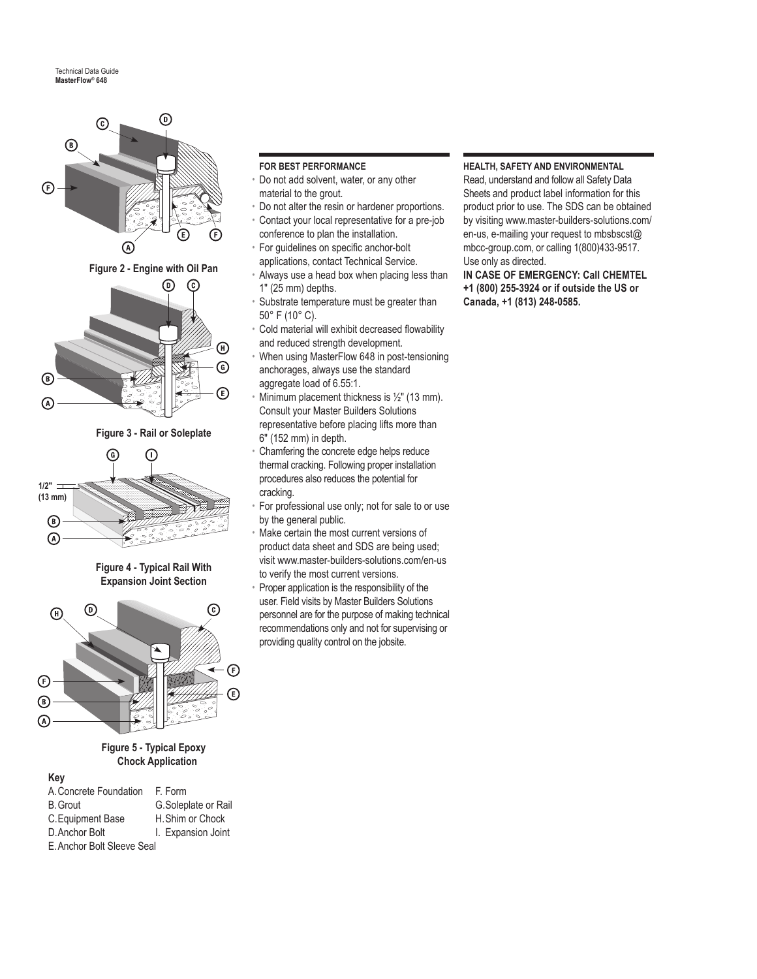



**Figure 4 - Typical Rail With Expansion Joint Section**



#### **Figure 5 - Typical Epoxy Chock Application**

### **Key**

| A. Concrete Foundation     | F. Form             |  |
|----------------------------|---------------------|--|
| <b>B.</b> Grout            | G.Soleplate or Rail |  |
| C. Equipment Base          | H. Shim or Chock    |  |
| D. Anchor Bolt             | I. Expansion Joint  |  |
| E. Anchor Bolt Sleeve Seal |                     |  |

#### **FOR BEST PERFORMANCE**

- Do not add solvent, water, or any other material to the grout.
- Do not alter the resin or hardener proportions.
- Contact your local representative for a pre-job conference to plan the installation.
- For guidelines on specific anchor-bolt applications, contact Technical Service.
- Always use a head box when placing less than 1" (25 mm) depths.
- Substrate temperature must be greater than 50° F (10° C).
- Cold material will exhibit decreased flowability and reduced strength development.
- When using MasterFlow 648 in post-tensioning anchorages, always use the standard aggregate load of 6.55:1.
- Minimum placement thickness is  $\frac{1}{2}$ " (13 mm). Consult your Master Builders Solutions representative before placing lifts more than 6" (152 mm) in depth.
- Chamfering the concrete edge helps reduce thermal cracking. Following proper installation procedures also reduces the potential for cracking.
- For professional use only; not for sale to or use by the general public.
- Make certain the most current versions of product data sheet and SDS are being used; visit www.master-builders-solutions.com/en-us to verify the most current versions.
- Proper application is the responsibility of the user. Field visits by Master Builders Solutions personnel are for the purpose of making technical recommendations only and not for supervising or providing quality control on the jobsite.

#### **HEALTH, SAFETY AND ENVIRONMENTAL**

Read, understand and follow all Safety Data Sheets and product label information for this product prior to use. The SDS can be obtained by visiting www.master-builders-solutions.com/ en-us, e-mailing your request to mbsbscst@ mbcc-group.com, or calling 1(800)433-9517. Use only as directed.

**IN CASE OF EMERGENCY: Call CHEMTEL +1 (800) 255-3924 or if outside the US or Canada, +1 (813) 248-0585.**